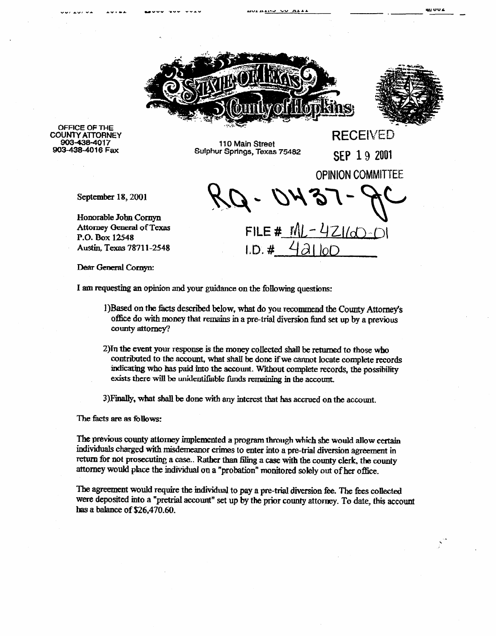



**RECEIVED** 

**OPINION COMMITTEE** 

... ... .

**OFFICE OF THE COUNTY ATTORNEY 903438-4017 903-438-4016 Fax** 

**110 Main Street**  SWhur **Springs, Texas 75482** SEP 19 2001

FILE #  $ML - 4Z1/d - 1$  $LD.$ #

September 18, 2001

Honorable John Cornyn Attorney General of Texas P.O. Box 12548 Austin, Texas 78711-2548

Dear General Cornyn:

I am requesting an opinion and your guidance on the following questions:

- 1)Based on the facts described below, what do you recommend the County Attorney's office do with money that remains in a pre-trial diversion fund set up by a previous county attorney?
- **2)Tn the event your nsponse is the mmey coJ.kcted shall be retumed to those who**  contributed to the account, what shall be done if we cannot locate complete records indicating who has paid into the account. Without complete records, the possibility exists there will be unidentifiable funds remaining in the account.

3) Finally, what shall be done with any interest that has accrued on the account.

The facts are as follows:

The previous county attorney implemented a program through which she would allow certain individuals charged with misdemeanor crimes to enter into a pre-trial diversion agreement in return for not prosecuting a case.. Rather than filing a case with the county clerk, the county attorney would place the individual ou a "probation" monitored solely out of her office.

The agreement would require the individual to pay a pre-trial diversion fee. The fees collected were deposited into a "pretrial account" set up by the prior county attorney. To date, this account **has a balance of \$26,470.60.**